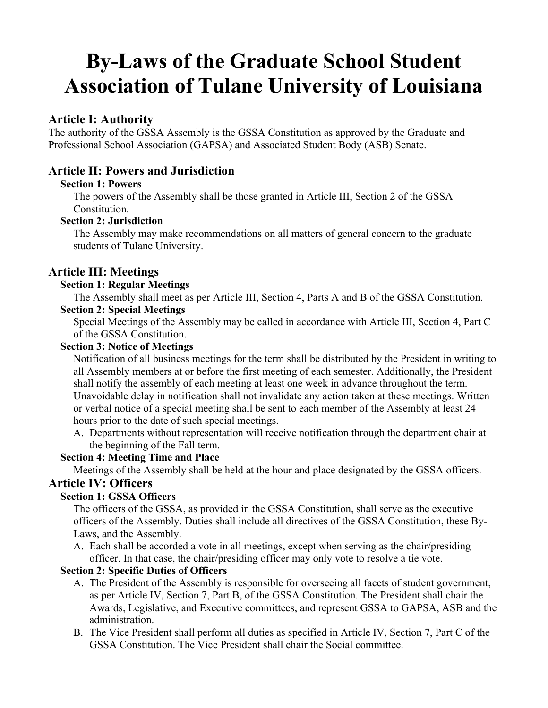# **By-Laws of the Graduate School Student Association of Tulane University of Louisiana**

# **Article I: Authority**

The authority of the GSSA Assembly is the GSSA Constitution as approved by the Graduate and Professional School Association (GAPSA) and Associated Student Body (ASB) Senate.

# **Article II: Powers and Jurisdiction**

#### **Section 1: Powers**

The powers of the Assembly shall be those granted in Article III, Section 2 of the GSSA **Constitution** 

#### **Section 2: Jurisdiction**

The Assembly may make recommendations on all matters of general concern to the graduate students of Tulane University.

# **Article III: Meetings**

#### **Section 1: Regular Meetings**

The Assembly shall meet as per Article III, Section 4, Parts A and B of the GSSA Constitution.

#### **Section 2: Special Meetings**

Special Meetings of the Assembly may be called in accordance with Article III, Section 4, Part C of the GSSA Constitution.

#### **Section 3: Notice of Meetings**

Notification of all business meetings for the term shall be distributed by the President in writing to all Assembly members at or before the first meeting of each semester. Additionally, the President shall notify the assembly of each meeting at least one week in advance throughout the term. Unavoidable delay in notification shall not invalidate any action taken at these meetings. Written or verbal notice of a special meeting shall be sent to each member of the Assembly at least 24 hours prior to the date of such special meetings.

A. Departments without representation will receive notification through the department chair at the beginning of the Fall term.

#### **Section 4: Meeting Time and Place**

Meetings of the Assembly shall be held at the hour and place designated by the GSSA officers.

## **Article IV: Officers**

#### **Section 1: GSSA Officers**

The officers of the GSSA, as provided in the GSSA Constitution, shall serve as the executive officers of the Assembly. Duties shall include all directives of the GSSA Constitution, these By-Laws, and the Assembly.

A. Each shall be accorded a vote in all meetings, except when serving as the chair/presiding officer. In that case, the chair/presiding officer may only vote to resolve a tie vote.

#### **Section 2: Specific Duties of Officers**

- A. The President of the Assembly is responsible for overseeing all facets of student government, as per Article IV, Section 7, Part B, of the GSSA Constitution. The President shall chair the Awards, Legislative, and Executive committees, and represent GSSA to GAPSA, ASB and the administration.
- B. The Vice President shall perform all duties as specified in Article IV, Section 7, Part C of the GSSA Constitution. The Vice President shall chair the Social committee.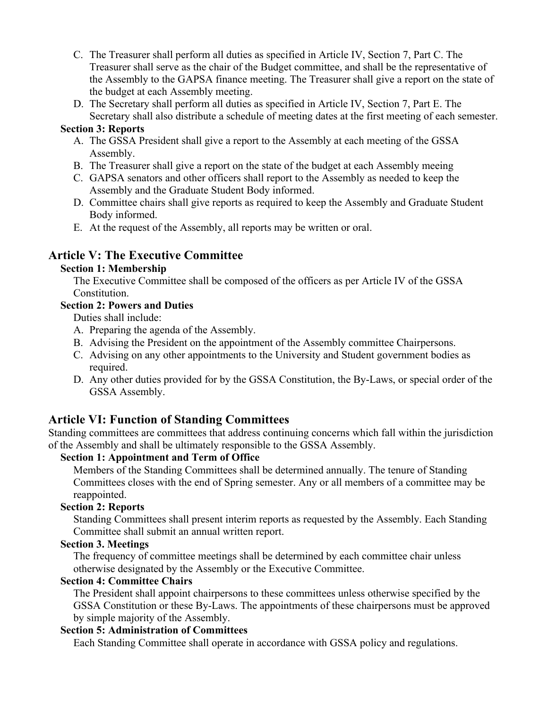- C. The Treasurer shall perform all duties as specified in Article IV, Section 7, Part C. The Treasurer shall serve as the chair of the Budget committee, and shall be the representative of the Assembly to the GAPSA finance meeting. The Treasurer shall give a report on the state of the budget at each Assembly meeting.
- D. The Secretary shall perform all duties as specified in Article IV, Section 7, Part E. The Secretary shall also distribute a schedule of meeting dates at the first meeting of each semester.

#### **Section 3: Reports**

- A. The GSSA President shall give a report to the Assembly at each meeting of the GSSA Assembly.
- B. The Treasurer shall give a report on the state of the budget at each Assembly meeing
- C. GAPSA senators and other officers shall report to the Assembly as needed to keep the Assembly and the Graduate Student Body informed.
- D. Committee chairs shall give reports as required to keep the Assembly and Graduate Student Body informed.
- E. At the request of the Assembly, all reports may be written or oral.

# **Article V: The Executive Committee**

#### **Section 1: Membership**

The Executive Committee shall be composed of the officers as per Article IV of the GSSA Constitution.

#### **Section 2: Powers and Duties**

Duties shall include:

- A. Preparing the agenda of the Assembly.
- B. Advising the President on the appointment of the Assembly committee Chairpersons.
- C. Advising on any other appointments to the University and Student government bodies as required.
- D. Any other duties provided for by the GSSA Constitution, the By-Laws, or special order of the GSSA Assembly.

# **Article VI: Function of Standing Committees**

Standing committees are committees that address continuing concerns which fall within the jurisdiction of the Assembly and shall be ultimately responsible to the GSSA Assembly.

## **Section 1: Appointment and Term of Office**

Members of the Standing Committees shall be determined annually. The tenure of Standing Committees closes with the end of Spring semester. Any or all members of a committee may be reappointed.

## **Section 2: Reports**

Standing Committees shall present interim reports as requested by the Assembly. Each Standing Committee shall submit an annual written report.

#### **Section 3. Meetings**

The frequency of committee meetings shall be determined by each committee chair unless otherwise designated by the Assembly or the Executive Committee.

#### **Section 4: Committee Chairs**

The President shall appoint chairpersons to these committees unless otherwise specified by the GSSA Constitution or these By-Laws. The appointments of these chairpersons must be approved by simple majority of the Assembly.

### **Section 5: Administration of Committees**

Each Standing Committee shall operate in accordance with GSSA policy and regulations.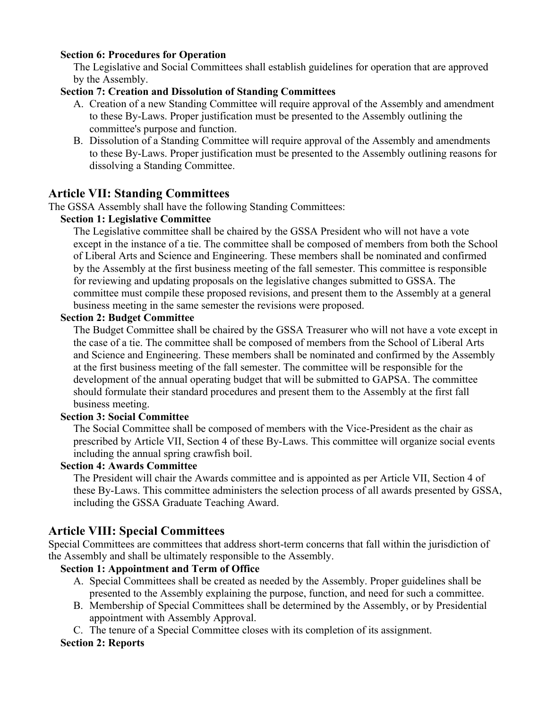#### **Section 6: Procedures for Operation**

The Legislative and Social Committees shall establish guidelines for operation that are approved by the Assembly.

#### **Section 7: Creation and Dissolution of Standing Committees**

- A. Creation of a new Standing Committee will require approval of the Assembly and amendment to these By-Laws. Proper justification must be presented to the Assembly outlining the committee's purpose and function.
- B. Dissolution of a Standing Committee will require approval of the Assembly and amendments to these By-Laws. Proper justification must be presented to the Assembly outlining reasons for dissolving a Standing Committee.

## **Article VII: Standing Committees**

The GSSA Assembly shall have the following Standing Committees:

#### **Section 1: Legislative Committee**

The Legislative committee shall be chaired by the GSSA President who will not have a vote except in the instance of a tie. The committee shall be composed of members from both the School of Liberal Arts and Science and Engineering. These members shall be nominated and confirmed by the Assembly at the first business meeting of the fall semester. This committee is responsible for reviewing and updating proposals on the legislative changes submitted to GSSA. The committee must compile these proposed revisions, and present them to the Assembly at a general business meeting in the same semester the revisions were proposed.

#### **Section 2: Budget Committee**

The Budget Committee shall be chaired by the GSSA Treasurer who will not have a vote except in the case of a tie. The committee shall be composed of members from the School of Liberal Arts and Science and Engineering. These members shall be nominated and confirmed by the Assembly at the first business meeting of the fall semester. The committee will be responsible for the development of the annual operating budget that will be submitted to GAPSA. The committee should formulate their standard procedures and present them to the Assembly at the first fall business meeting.

#### **Section 3: Social Committee**

The Social Committee shall be composed of members with the Vice-President as the chair as prescribed by Article VII, Section 4 of these By-Laws. This committee will organize social events including the annual spring crawfish boil.

#### **Section 4: Awards Committee**

The President will chair the Awards committee and is appointed as per Article VII, Section 4 of these By-Laws. This committee administers the selection process of all awards presented by GSSA, including the GSSA Graduate Teaching Award.

## **Article VIII: Special Committees**

Special Committees are committees that address short-term concerns that fall within the jurisdiction of the Assembly and shall be ultimately responsible to the Assembly.

#### **Section 1: Appointment and Term of Office**

- A. Special Committees shall be created as needed by the Assembly. Proper guidelines shall be presented to the Assembly explaining the purpose, function, and need for such a committee.
- B. Membership of Special Committees shall be determined by the Assembly, or by Presidential appointment with Assembly Approval.
- C. The tenure of a Special Committee closes with its completion of its assignment.

#### **Section 2: Reports**